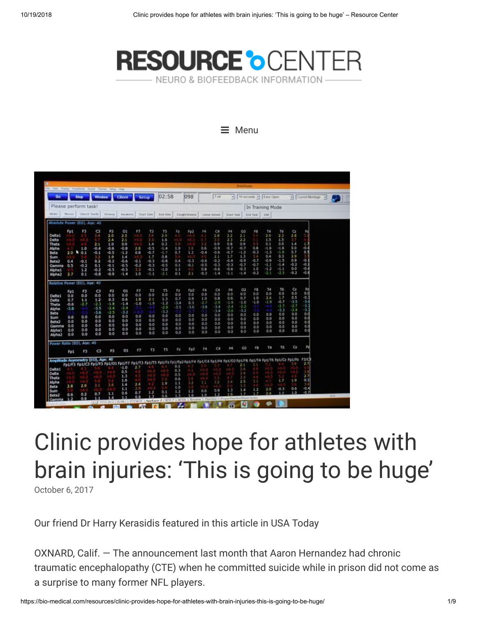

#### $\equiv$  Menu

| in Data Drame, Frey Lands, Sound. Thereat, Setua Help. |                  |                |                |               |          |        |             |                                                                                                                               |        |              |            |              |            | <b>Transferring</b>      |                 |                  |                  |                  |                    |               |
|--------------------------------------------------------|------------------|----------------|----------------|---------------|----------|--------|-------------|-------------------------------------------------------------------------------------------------------------------------------|--------|--------------|------------|--------------|------------|--------------------------|-----------------|------------------|------------------|------------------|--------------------|---------------|
| Go                                                     |                  | <b>Stop</b>    | Window         |               | Client   |        | Setup       | 02:58                                                                                                                         |        | 098          |            | 7w           |            | - 10 seconds - Eyes Open |                 |                  |                  |                  | - Current Montager | $\rightarrow$ |
| Please perform task!                                   |                  |                |                |               |          |        |             |                                                                                                                               |        |              |            |              |            |                          |                 | In Training Mode |                  |                  |                    |               |
| <b>COLARA</b>                                          | Moyes.           | Clench Taarin. |                | <b>Drowny</b> | Awakens: |        | Start Steel | End Stew                                                                                                                      |        | Cough/Sheeze |            | Liste Server | Start Tack |                          | <b>End Task</b> | Edit             |                  |                  |                    |               |
| Absolute Power (EO), Age: 40                           |                  |                |                |               |          |        |             |                                                                                                                               |        |              |            |              |            |                          |                 |                  |                  |                  |                    |               |
|                                                        | Fp1              | F3             | G              | P3            | O1       | F7     | T3          | T5                                                                                                                            | Fz     | Fp2          | F4         | CA           | P4         | 02                       | F8              | T4               | T6               | $\alpha$         | Rd                 |               |
| Delta <sub>1</sub>                                     |                  |                | 3.4            | 2.0           | 2.5      |        | 3.9         | 2.9                                                                                                                           |        | 26           |            | 2.8          | 2.2        | 2.1                      | . O             | 2.9              | 2.3              | 28               |                    |               |
| Delta                                                  |                  |                |                | 24            | 2.1      |        | 33          | 1.6                                                                                                                           |        |              |            | 3.0          | 2.3        | 2.2                      |                 | 1.5              | 1.5              | 37               |                    |               |
| Theta                                                  |                  |                | 2.1            | 1.0           | 0,9      |        | 1.4         | 0.3                                                                                                                           | 310    |              | 32         | 0.9          | 0.8        | 0.9                      | o               | 0.1              | 0.0              | 1.4              | 1.7                |               |
| Aloha                                                  |                  | 1.0            | $+0.4$         | $-0.6$        | $-0.8$   | 2.8    | $-0.5$      | $-1.4$                                                                                                                        | 1,0    | 3.8          | 0.6        | $-0.9$       | $+0.7$     | $-0.7$                   | 0.8             | -1.6             | $-1.6$           | 0.0              | -0.4               |               |
| Beta                                                   | 2.0 <sub>h</sub> | 0.1            | $-0.1$         | $-0.5$        | $-1.2$   | 0.8    | $-0.7$      | $-1.7$                                                                                                                        | 0.7    | 1.3          | $-0.4$     | $-0.6$       | $-0.7$     | $-1.2$                   | $-0.3$          | $-1.3$           | $-1.9$           | 0.7              | 0.5                |               |
| Sum                                                    |                  |                | 3.2            | 1.9           | 1.4      |        | 1.7         | 0.8                                                                                                                           |        |              |            | 2.1          | 1.7        | 1.3                      | 1.4             | 0.4              | 0.3              | 2.9              |                    |               |
| Beta2                                                  | 0.4              | $-0.1$         | 0.2            | $-0.2$        | $-0.6$   | $-0.1$ | $-0.3$      | $-0.8$                                                                                                                        | 0.4    | $-0.3$       | $-0.6$     | $-0.2$       | $-0.4$     | $-0.9$                   | $-0.7$          | $-0.9$           | $-1.5$           | 0.9              | $-0.1$             |               |
| Gamma                                                  | 0.5              | $-0.2$         | 0.1            | $-0.1$        | $-0.5$   | $-0.2$ | $-0.3$      | $-0.5$                                                                                                                        | 0.1    | $-0.1$       | $-0.5$     | $-0.3$       | $-0.3$     | $-0.7$                   | $-0.7$          | -1.1             | 41.4             | $-0.2$           | $-0.1$             |               |
| Moha 1                                                 |                  | 1.2            | $-0.2$         | $-0.5$        | $-0.5$   | 3.2    | $-0.1$      | $-1.0$                                                                                                                        | 1.3    | 47           | 0.8        | $-0.6$       | $-0.6$     | $-0.3$                   | 1.0             | $-1.2$           | -1.1             | 0.0              | -0.4<br>-0.8       |               |
| Alpha2                                                 | 27               | 0.1            | $-0.8$         | $-0.9$        | -1.4     | 1.0    | $-1.1$      | $-2.1$                                                                                                                        | 0.1    | 2.1          | $-0.3$     | -1.4         | 45.1       | 15.4                     | $-0.2$          | -2.1             | $-2.3$           | $-0.2$           |                    |               |
| Relative Power (EO), Ape: 40                           |                  |                |                |               |          |        |             |                                                                                                                               |        |              |            |              |            |                          |                 |                  |                  |                  |                    |               |
|                                                        | Fp1              | F3             | C <sub>3</sub> | P3            | O1       | F7.    | T3          | <b>T5</b>                                                                                                                     | FZ     | Fp2          | F4         | C4           | P4         | O2                       | F8              | T4               | T6               | G                | P.                 |               |
| Delta1                                                 | 0.0              | 0.0            | 0.0            | 0.0           | 0.0      | 0.0    | 0.0         | 0.0                                                                                                                           | 0.0    | 0,0          | 0.0        | 0.0          | 0.0        | 0,0                      | 0.0             | 0.0              | 0.0              | 0.0              | 0.0                |               |
| Delta                                                  | 0.7              | 1.1            | $1-2$          | 0.3           | 0.6      | 1.8    | 2.1         | 1.3                                                                                                                           | 0.7    | 0.9          | 1.0        | 0.8          | 0.6        | 0.7                      | 1.0             | 2.4              | 1.7              | 0.5              | $-0.1$             |               |
| Theta                                                  | $-0.6$           | $-2.7$         | $-2.3$         | $-1.8$        | $-1.4$   | $-1.0$ | $-1.9$      | $-1.2$                                                                                                                        | $-3.4$ | 0.3          | $-2.7$     | $-2.9$       | $-1.9$     | $-1.0$                   | $-1.0$          | $-1.9$           | $-0.7$           | $-3.5$           | -3.4<br>-3.1       |               |
| Alpha                                                  | $-3.8$           |                | $-3.5$         | $-2.4$        | $-2.4$   |        |             | $-2.8$                                                                                                                        | $-3.5$ | $-3.6$       | $-3.8$     | $-3.4$       | $-2.4$     | $-2.2$                   |                 |                  | $-2.7$<br>$-3.3$ | $-2.7$<br>$-2.4$ | $-3.1$             |               |
| Beta                                                   |                  |                | $-3.6$         | $-2.5$        | $-3.2$   |        | 41          | $-3.2$                                                                                                                        |        |              |            | $-3.4$       | $-2.6$     | $-3.2$                   |                 |                  | 0.0              | 0.0              | 0.0                |               |
| Sum                                                    | 0,0              | 0.0            | 0.0            | 0,0           | 0.0      | 0.0    | 0.0         | 0.0                                                                                                                           | 0.0    | 0.0          | 0.0        | 0.0          | 0.0        | 0.0<br>0.0               | 0.0<br>0.0      | 0.0<br>0.0       | 0.0              | 0.0              | 0.0                |               |
| Beta2                                                  | 0.0              | 0.0            | 0.0            | 0.0           | 0.0      | 0.0    | 0.0         | 0.0                                                                                                                           | 0.0    | 0.0          | 0.0        | 0.0          | 0,0<br>0.0 | 0.0                      | 0.0             | 0.0              | 0,0              | 0.0              | 0.0                |               |
| Gamma                                                  | 0.0              | 0.0            | 0.0            | 0.0           | 0,0      | 0.0    | 0.0         | 0.0                                                                                                                           | 0.0    | 0.0          | 0.0        | 0.0<br>0.0   | 0.0        | 0.0                      | 0.0             | 0.0              | 0.0              | 0.0              | 0.0                |               |
| Aloha 1                                                | 0.0              | 0.0            | 0.0            | 0.0           | 0.0      | 0,0    | 0.0         | 0.0                                                                                                                           | 0.0    | 0.0          | 0.0<br>0.0 | 0,0          | ő.O        | 0.0                      | 0.0             | 0.0              | 0,0              | 0.0              | 0.0                |               |
| Alpha <sub>2</sub>                                     | 0.0              | 0.0            | 0.0            | 0,0           | 0.0      | 0.0    | 0,0         | 0.0                                                                                                                           | 0,0    | 0.0          |            |              |            |                          |                 |                  |                  |                  |                    |               |
| Power Ratio (EO), Age: 40                              |                  |                |                |               |          |        |             |                                                                                                                               |        |              |            |              |            |                          |                 |                  |                  |                  |                    |               |
|                                                        | Fp1              | F3             | C3             | P3            | O(1)     | F7     | Ť3          | 15                                                                                                                            | FZ     | Fp2          | 94         | C4           | P4         | O2                       | FB              | T4               | T6               | G                | Pz                 |               |
| Amplitude Asymmetry (EO), Age: 40                      |                  |                |                |               |          |        |             | FOLIFS FOLICS FOLIPS FOLIOI FOLIF7 FOLITS FOLITS FOLIFLY FOLIFO2 FOLIF4 FOLIC4 FOLIP4 FOLITO FOLIT4 FOLIT6 FOLIC2 FOLIP2 FSIC |        |              |            |              |            |                          |                 |                  |                  |                  |                    |               |
|                                                        |                  |                |                |               | $-5.0$   | 2.7    |             | 45                                                                                                                            | 0.1    |              |            |              |            |                          |                 |                  |                  |                  |                    |               |
| Delta1                                                 |                  |                |                |               | 0.5      |        |             | эō                                                                                                                            | 0.3    |              |            |              | 56         | 3.4                      |                 |                  |                  |                  | 3.8                |               |
| Delta                                                  |                  |                |                |               | 1.3      |        |             |                                                                                                                               | 0.5    |              |            |              |            | 3.4                      |                 |                  |                  |                  | 27                 |               |
| Theta                                                  |                  |                |                |               | 1.6      |        |             |                                                                                                                               | 0.6    | - 6          |            |              |            | 63                       |                 |                  | 1.7              | 1.9              | 0.3                |               |
| Alpha                                                  |                  |                | 3.1            | 3.6           | 1.4      | 2.4    |             | 1.9                                                                                                                           | 1.1    | $1-2$        | 3.1        | 3.2          | 3.4        | 2.5                      | 31              |                  |                  |                  | 3.4                |               |
| Beta                                                   | 2.8              | 29             |                |               | 1.1      | 3.9.   |             |                                                                                                                               | 1.0    |              |            |              |            |                          | 1.2             | 2.0              | $-0.3$           | 0.6              | $-0.4$             |               |
| Sum                                                    |                  | 0.2            | 0.7            | 1.1           | 0.6      | 0.7    | 1.2         | 0.1                                                                                                                           | 1.2    | 1.2          | 0.6.       | 0.9          | 1.3<br>1.6 | 1.4<br>o                 | 1.7             | 24               | 1.1              | 1.0              | $-0.7$             |               |
| <b>Beta2</b>                                           | 0.6              |                |                |               |          | 0.8    | 1.3         | 0.6                                                                                                                           | 1.3    | 1.6          | 5.0        | 1.2          |            |                          |                 |                  |                  |                  |                    | 최초            |

# Clinic provides hope for athletes with brain injuries: 'This is going to be huge'

[October](https://bio-medical.com/resources/clinic-provides-hope-for-athletes-with-brain-injuries-this-is-going-to-be-huge/) 6, 2017

Our friend Dr Harry Kerasidis featured in this article in USA Today

OXNARD, Calif. — The announcement last month that Aaron Hernandez had chronic traumatic encephalopathy (CTE) when he committed suicide while in prison did not come as a surprise to many former NFL players.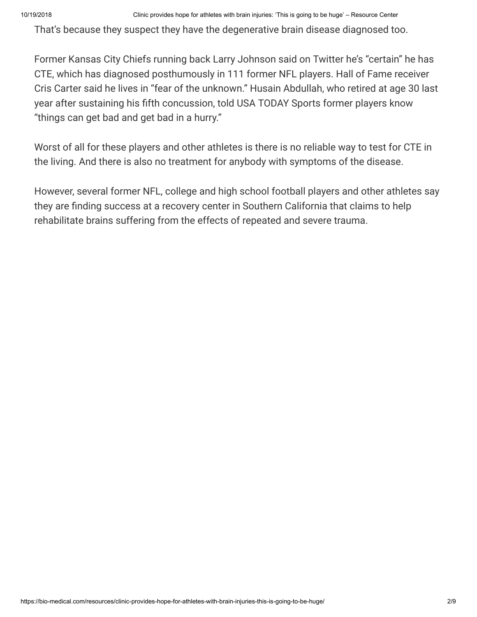That's because they suspect they have the degenerative brain disease diagnosed too.

Former Kansas City Chiefs running back Larry Johnson said on Twitter he's "certain" he has CTE, which has diagnosed posthumously in 111 former NFL players. Hall of Fame receiver Cris Carter said he lives in "fear of the unknown." Husain Abdullah, who retired at age 30 last year after sustaining his fifth concussion, told USA TODAY Sports former players know "things can get bad and get bad in a hurry."

Worst of all for these players and other athletes is there is no reliable way to test for CTE in the living. And there is also no treatment for anybody with symptoms of the disease.

However, several former NFL, college and high school football players and other athletes say they are finding success at a recovery center in Southern California that claims to help rehabilitate brains suffering from the effects of repeated and severe trauma.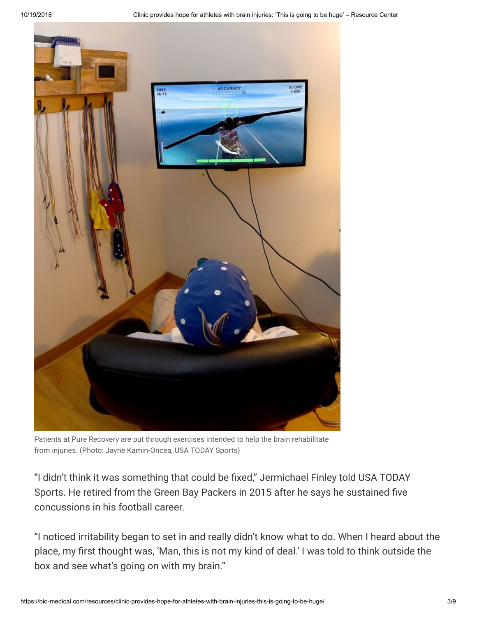

Patients at Pure Recovery are put through exercises intended to help the brain rehabilitate from injuries. (Photo: Jayne Kamin-Oncea, USA TODAY Sports)

"I didn't think it was something that could be fixed," Jermichael Finley told USA TODAY Sports. He retired from the Green Bay Packers in 2015 after he says he sustained five concussions in his football career.

"I noticed irritability began to set in and really didn't know what to do. When I heard about the place, my first thought was, 'Man, this is not my kind of deal.' I was told to think outside the box and see what's going on with my brain."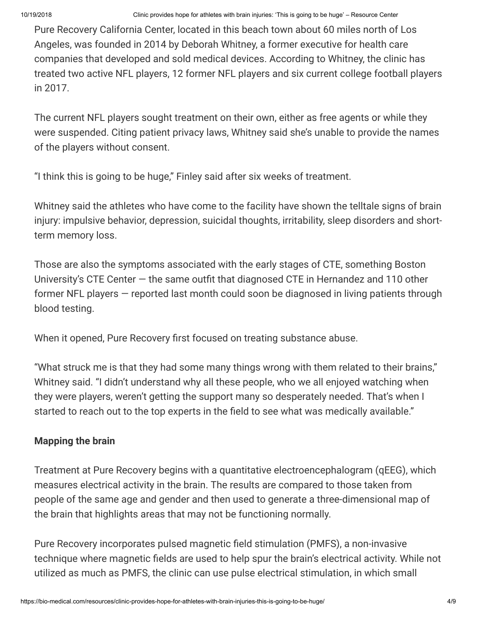Pure Recovery California Center, located in this beach town about 60 miles north of Los Angeles, was founded in 2014 by Deborah Whitney, a former executive for health care companies that developed and sold medical devices. According to Whitney, the clinic has treated two active NFL players, 12 former NFL players and six current college football players in 2017.

The current NFL players sought treatment on their own, either as free agents or while they were suspended. Citing patient privacy laws, Whitney said she's unable to provide the names of the players without consent.

"I think this is going to be huge," Finley said after six weeks of treatment.

Whitney said the athletes who have come to the facility have shown the telltale signs of brain injury: impulsive behavior, depression, suicidal thoughts, irritability, sleep disorders and shortterm memory loss.

Those are also the symptoms associated with the early stages of CTE, something Boston University's CTE Center — the same outfit that diagnosed CTE in Hernandez and 110 other former NFL players — reported last month could soon be diagnosed in living patients through blood testing.

When it opened, Pure Recovery first focused on treating substance abuse.

"What struck me is that they had some many things wrong with them related to their brains," Whitney said. "I didn't understand why all these people, who we all enjoyed watching when they were players, weren't getting the support many so desperately needed. That's when I started to reach out to the top experts in the field to see what was medically available."

## **Mapping the brain**

Treatment at Pure Recovery begins with a quantitative electroencephalogram (qEEG), which measures electrical activity in the brain. The results are compared to those taken from people of the same age and gender and then used to generate a three-dimensional map of the brain that highlights areas that may not be functioning normally.

Pure Recovery incorporates pulsed magnetic field stimulation (PMFS), a non-invasive technique where magnetic fields are used to help spur the brain's electrical activity. While not utilized as much as PMFS, the clinic can use pulse electrical stimulation, in which small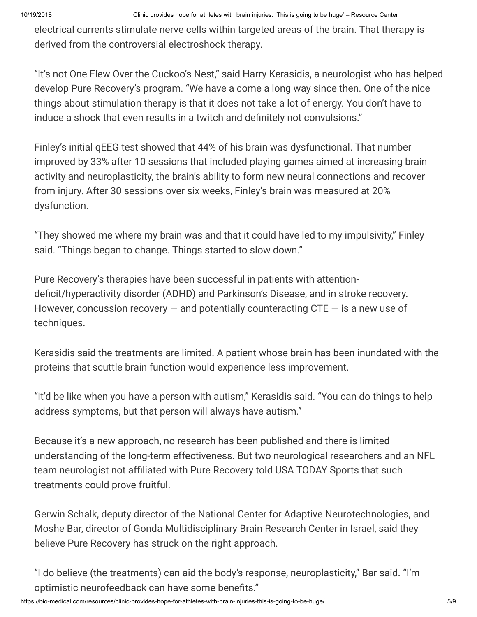electrical currents stimulate nerve cells within targeted areas of the brain. That therapy is derived from the controversial electroshock therapy.

"It's not One Flew Over the Cuckoo's Nest," said Harry Kerasidis, a neurologist who has helped develop Pure Recovery's program. "We have a come a long way since then. One of the nice things about stimulation therapy is that it does not take a lot of energy. You don't have to induce a shock that even results in a twitch and definitely not convulsions."

Finley's initial qEEG test showed that 44% of his brain was dysfunctional. That number improved by 33% after 10 sessions that included playing games aimed at increasing brain activity and neuroplasticity, the brain's ability to form new neural connections and recover from injury. After 30 sessions over six weeks, Finley's brain was measured at 20% dysfunction.

"They showed me where my brain was and that it could have led to my impulsivity," Finley said. "Things began to change. Things started to slow down."

Pure Recovery's therapies have been successful in patients with attentiondeficit/hyperactivity disorder (ADHD) and Parkinson's Disease, and in stroke recovery. However, concussion recovery  $-$  and potentially counteracting CTE  $-$  is a new use of techniques.

Kerasidis said the treatments are limited. A patient whose brain has been inundated with the proteins that scuttle brain function would experience less improvement.

"It'd be like when you have a person with autism," Kerasidis said. "You can do things to help address symptoms, but that person will always have autism."

Because it's a new approach, no research has been published and there is limited understanding of the long-term effectiveness. But two neurological researchers and an NFL team neurologist not affiliated with Pure Recovery told USA TODAY Sports that such treatments could prove fruitful.

Gerwin Schalk, deputy director of the National Center for Adaptive Neurotechnologies, and Moshe Bar, director of Gonda Multidisciplinary Brain Research Center in Israel, said they believe Pure Recovery has struck on the right approach.

"I do believe (the treatments) can aid the body's response, neuroplasticity," Bar said. "I'm optimistic neurofeedback can have some benefits."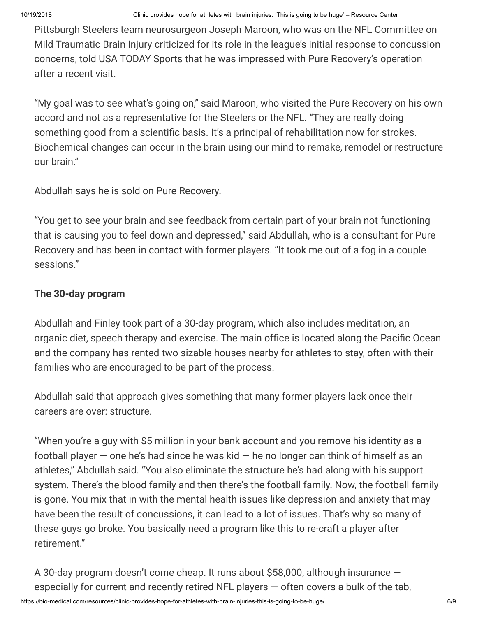Pittsburgh Steelers team neurosurgeon Joseph Maroon, who was on the NFL Committee on Mild Traumatic Brain Injury criticized for its role in the league's initial response to concussion concerns, told USA TODAY Sports that he was impressed with Pure Recovery's operation after a recent visit.

"My goal was to see what's going on," said Maroon, who visited the Pure Recovery on his own accord and not as a representative for the Steelers or the NFL. "They are really doing something good from a scientific basis. It's a principal of rehabilitation now for strokes. Biochemical changes can occur in the brain using our mind to remake, remodel or restructure our brain."

Abdullah says he is sold on Pure Recovery.

"You get to see your brain and see feedback from certain part of your brain not functioning that is causing you to feel down and depressed," said Abdullah, who is a consultant for Pure Recovery and has been in contact with former players. "It took me out of a fog in a couple sessions."

## **The 30-day program**

Abdullah and Finley took part of a 30-day program, which also includes meditation, an organic diet, speech therapy and exercise. The main office is located along the Pacific Ocean and the company has rented two sizable houses nearby for athletes to stay, often with their families who are encouraged to be part of the process.

Abdullah said that approach gives something that many former players lack once their careers are over: structure.

"When you're a guy with \$5 million in your bank account and you remove his identity as a football player  $-$  one he's had since he was kid  $-$  he no longer can think of himself as an athletes," Abdullah said. "You also eliminate the structure he's had along with his support system. There's the blood family and then there's the football family. Now, the football family is gone. You mix that in with the mental health issues like depression and anxiety that may have been the result of concussions, it can lead to a lot of issues. That's why so many of these guys go broke. You basically need a program like this to re-craft a player after retirement."

A 30-day program doesn't come cheap. It runs about \$58,000, although insurance especially for current and recently retired NFL players — often covers a bulk of the tab,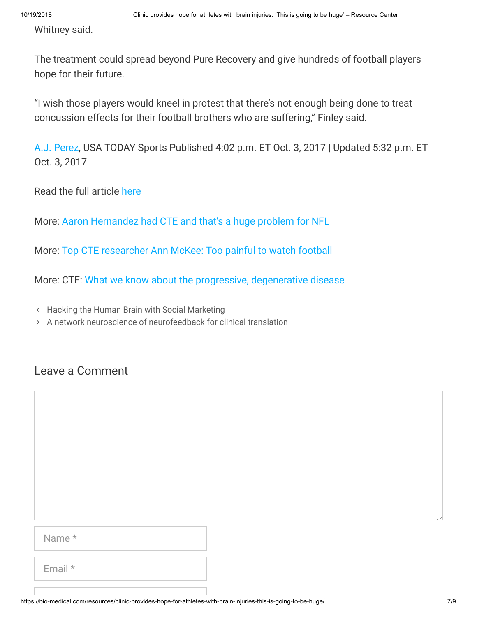Whitney said.

The treatment could spread beyond Pure Recovery and give hundreds of football players hope for their future.

"I wish those players would kneel in protest that there's not enough being done to treat concussion effects for their football brothers who are suffering," Finley said.

[A.J. Perez](https://www.usatoday.com/staff/10046282/aj-perez/), USA TODAY Sports Published 4:02 p.m. ET Oct. 3, 2017 | Updated 5:32 p.m. ET Oct. 3, 2017

Read the full article [here](https://www.usatoday.com/story/sports/nfl/2017/10/03/california-clinic-provides-hope-athletes-brain-injuries-athletes-seek-answers-degenerative-brain-dis/700399001/)

More: [Aaron Hernandez had CTE and that's a huge problem for NFL](https://www.usatoday.com/story/sports/columnist/nancy-armour/2017/09/21/aaron-hernandez-had-cte-and-thats-huge-problem-nfl/691046001/)

More: [Top CTE researcher Ann McKee: Too painful to watch football](https://www.usatoday.com/story/sports/nfl/2017/02/01/cte-research-concussions-football-nfl-ann-mckee/97344852/)

More: CTE: [What we know about the progressive, degenerative disease](https://www.usatoday.com/story/sports/2016/05/25/chronic-traumatic-encephalopathy-cte-what-we-know-nfl/84904008/)

Hacking [the Human Brain with](https://bio-medical.com/resources/hacking-the-human-brain-with-social-marketing/) Social Marketing

A network [neuroscience of](https://bio-medical.com/resources/a-network-neuroscience-of-neurofeedback-for-clinical-translation/) neurofeedback for clinical translation

## Leave a Comment

| ٠ |  |
|---|--|
|---|--|

Email \*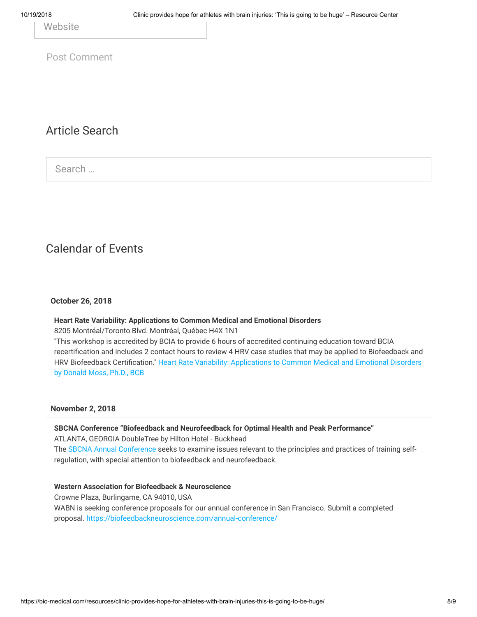**Website** 

Post Comment

### Article Search

Search …

## Calendar of Events

#### **October 26, 2018**

#### **Heart Rate Variability: Applications to Common Medical and Emotional Disorders**

8205 Montréal/Toronto Blvd. Montréal, Québec H4X 1N1

"This workshop is accredited by BCIA to provide 6 hours of accredited continuing education toward BCIA recertification and includes 2 contact hours to review 4 HRV case studies that may be applied to Biofeedback and HRV Biofeedback [Certification." Heart](http://thoughttechnology.com/index.php/workshops) Rate Variability: Applications to Common Medical and Emotional Disorders by Donald Moss, Ph.D., BCB

#### **November 2, 2018**

**SBCNA Conference "Biofeedback and Neurofeedback for Optimal Health and Peak Performance"** ATLANTA, GEORGIA DoubleTree by Hilton Hotel - Buckhead The SBCNA Annual [Conference s](http://sebiofeedback.org/2018-SBCNA-Conference)eeks to examine issues relevant to the principles and practices of training selfregulation, with special attention to biofeedback and neurofeedback.

#### **Western Association for Biofeedback & Neuroscience**

Crowne Plaza, Burlingame, CA 94010, USA WABN is seeking conference proposals for our annual conference in San Francisco. Submit a completed proposal. <https://biofeedbackneuroscience.com/annual-conference/>